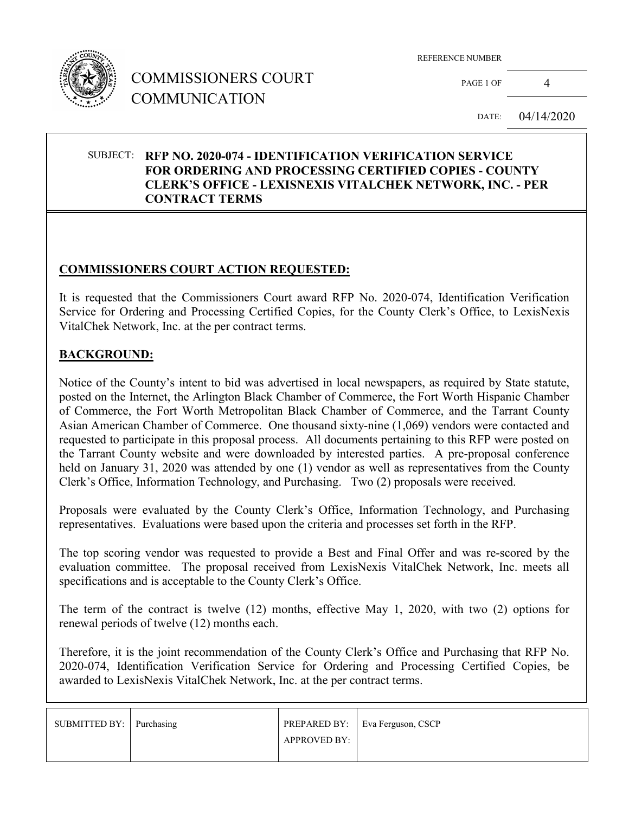

# COMMISSIONERS COURT COMMUNICATION

REFERENCE NUMBER

PAGE 1 OF 4

DATE: 04/14/2020

#### SUBJECT: **RFP NO. 2020-074 - IDENTIFICATION VERIFICATION SERVICE FOR ORDERING AND PROCESSING CERTIFIED COPIES - COUNTY CLERK'S OFFICE - LEXISNEXIS VITALCHEK NETWORK, INC. - PER CONTRACT TERMS**

#### **COMMISSIONERS COURT ACTION REQUESTED:**

It is requested that the Commissioners Court award RFP No. 2020-074, Identification Verification Service for Ordering and Processing Certified Copies, for the County Clerk's Office, to LexisNexis VitalChek Network, Inc. at the per contract terms.

#### **BACKGROUND:**

Notice of the County's intent to bid was advertised in local newspapers, as required by State statute, posted on the Internet, the Arlington Black Chamber of Commerce, the Fort Worth Hispanic Chamber of Commerce, the Fort Worth Metropolitan Black Chamber of Commerce, and the Tarrant County Asian American Chamber of Commerce. One thousand sixty-nine (1,069) vendors were contacted and requested to participate in this proposal process. All documents pertaining to this RFP were posted on the Tarrant County website and were downloaded by interested parties. A pre-proposal conference held on January 31, 2020 was attended by one (1) vendor as well as representatives from the County Clerk's Office, Information Technology, and Purchasing. Two (2) proposals were received.

Proposals were evaluated by the County Clerk's Office, Information Technology, and Purchasing representatives. Evaluations were based upon the criteria and processes set forth in the RFP.

The top scoring vendor was requested to provide a Best and Final Offer and was re-scored by the evaluation committee. The proposal received from LexisNexis VitalChek Network, Inc. meets all specifications and is acceptable to the County Clerk's Office.

The term of the contract is twelve (12) months, effective May 1, 2020, with two (2) options for renewal periods of twelve (12) months each.

Therefore, it is the joint recommendation of the County Clerk's Office and Purchasing that RFP No. 2020-074, Identification Verification Service for Ordering and Processing Certified Copies, be awarded to LexisNexis VitalChek Network, Inc. at the per contract terms.

| SUBMITTED BY: Purchasing |                     | PREPARED BY:   Eva Ferguson, CSCP |
|--------------------------|---------------------|-----------------------------------|
|                          | <b>APPROVED BY:</b> |                                   |